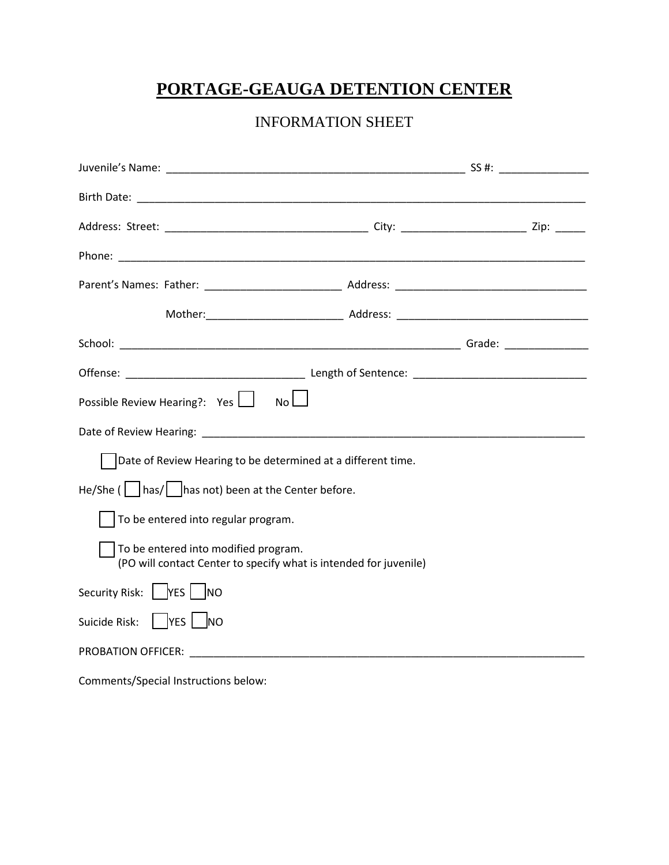# **PORTAGE-GEAUGA DETENTION CENTER**

## INFORMATION SHEET

| Possible Review Hearing?: Yes   No                             |                                                                   |  |
|----------------------------------------------------------------|-------------------------------------------------------------------|--|
|                                                                |                                                                   |  |
| Date of Review Hearing to be determined at a different time.   |                                                                   |  |
| He/She ( $\vert$   has/    has not) been at the Center before. |                                                                   |  |
| $\vert \ \vert$ To be entered into regular program.            |                                                                   |  |
| To be entered into modified program.                           | (PO will contact Center to specify what is intended for juvenile) |  |
| Security Risk:   YES   NO                                      |                                                                   |  |
| Suicide Risk:         YES         NO                           |                                                                   |  |
|                                                                |                                                                   |  |
| Comments/Special Instructions below:                           |                                                                   |  |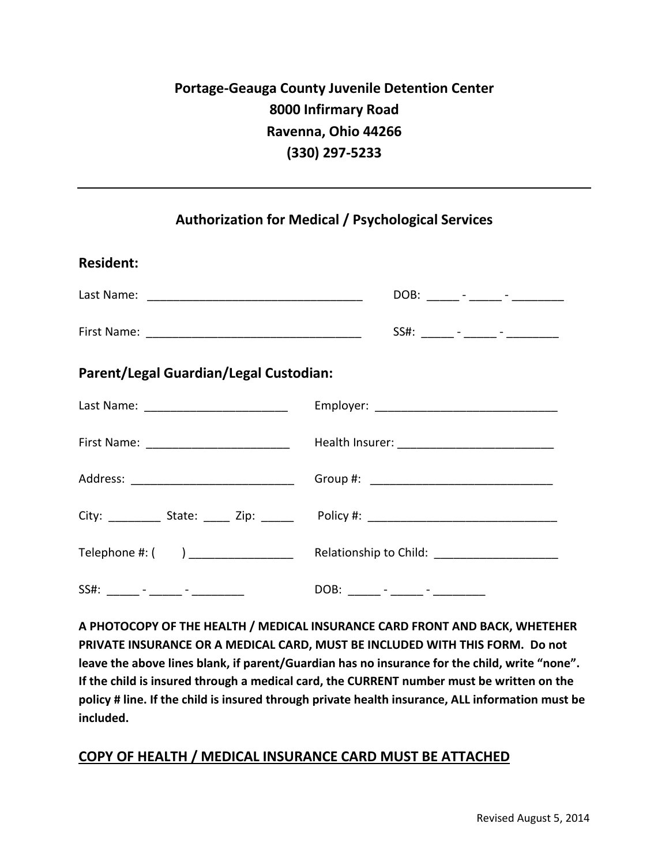### **Authorization for Medical / Psychological Services**

| <b>Resident:</b>                           |                                                                                  |
|--------------------------------------------|----------------------------------------------------------------------------------|
|                                            | DOB: _____ - _____ - _______ -                                                   |
|                                            | SS#: ______ - _____ - _______-                                                   |
| Parent/Legal Guardian/Legal Custodian:     |                                                                                  |
| Last Name: ____________________________    |                                                                                  |
| First Name: _____________________________  |                                                                                  |
| Address: _________________________________ |                                                                                  |
|                                            | City: __________ State: _____ Zip: ______ Policy #: ____________________________ |
| Telephone #: ( ) __________________        | Relationship to Child: _______________________                                   |
|                                            | DOB: ______ - _____ - ________                                                   |

**A PHOTOCOPY OF THE HEALTH / MEDICAL INSURANCE CARD FRONT AND BACK, WHETEHER PRIVATE INSURANCE OR A MEDICAL CARD, MUST BE INCLUDED WITH THIS FORM. Do not leave the above lines blank, if parent/Guardian has no insurance for the child, write "none". If the child is insured through a medical card, the CURRENT number must be written on the policy # line. If the child is insured through private health insurance, ALL information must be included.**

#### **COPY OF HEALTH / MEDICAL INSURANCE CARD MUST BE ATTACHED**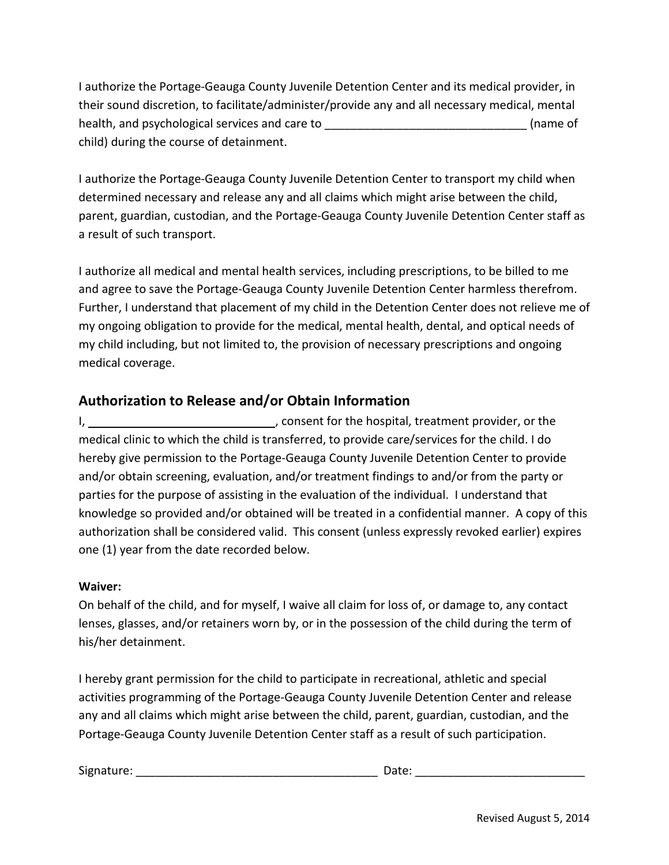I authorize the Portage-Geauga County Juvenile Detention Center and its medical provider, in their sound discretion, to facilitate/administer/provide any and all necessary medical, mental health, and psychological services and care to \_\_\_\_\_\_\_\_\_\_\_\_\_\_\_\_\_\_\_\_\_\_\_\_\_\_\_\_\_\_\_\_\_\_(name of child) during the course of detainment.

I authorize the Portage-Geauga County Juvenile Detention Center to transport my child when determined necessary and release any and all claims which might arise between the child, parent, guardian, custodian, and the Portage-Geauga County Juvenile Detention Center staff as a result of such transport.

I authorize all medical and mental health services, including prescriptions, to be billed to me and agree to save the Portage-Geauga County Juvenile Detention Center harmless therefrom. Further, I understand that placement of my child in the Detention Center does not relieve me of my ongoing obligation to provide for the medical, mental health, dental, and optical needs of my child including, but not limited to, the provision of necessary prescriptions and ongoing medical coverage.

### **Authorization to Release and/or Obtain Information**

I, the matrix of the hospital, treatment provider, or the hospital, treatment provider, or the medical clinic to which the child is transferred, to provide care/services for the child. I do hereby give permission to the Portage-Geauga County Juvenile Detention Center to provide and/or obtain screening, evaluation, and/or treatment findings to and/or from the party or parties for the purpose of assisting in the evaluation of the individual. I understand that knowledge so provided and/or obtained will be treated in a confidential manner. A copy of this authorization shall be considered valid. This consent (unless expressly revoked earlier) expires one (1) year from the date recorded below.

#### **Waiver:**

On behalf of the child, and for myself, I waive all claim for loss of, or damage to, any contact lenses, glasses, and/or retainers worn by, or in the possession of the child during the term of his/her detainment.

I hereby grant permission for the child to participate in recreational, athletic and special activities programming of the Portage-Geauga County Juvenile Detention Center and release any and all claims which might arise between the child, parent, guardian, custodian, and the Portage-Geauga County Juvenile Detention Center staff as a result of such participation.

Signature: \_\_\_\_\_\_\_\_\_\_\_\_\_\_\_\_\_\_\_\_\_\_\_\_\_\_\_\_\_\_\_\_\_\_\_\_\_ Date: \_\_\_\_\_\_\_\_\_\_\_\_\_\_\_\_\_\_\_\_\_\_\_\_\_\_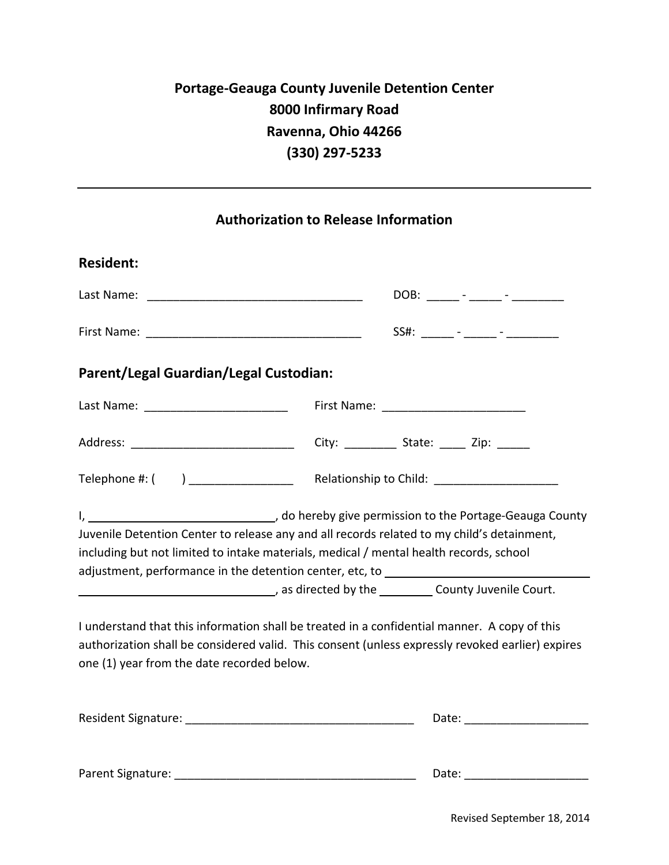## **Authorization to Release Information**

| <b>Resident:</b>                           |                                                                                                                                                                                                                                                                                                                                   |  |
|--------------------------------------------|-----------------------------------------------------------------------------------------------------------------------------------------------------------------------------------------------------------------------------------------------------------------------------------------------------------------------------------|--|
|                                            | DOB: ______ - _____ - _______ -                                                                                                                                                                                                                                                                                                   |  |
|                                            |                                                                                                                                                                                                                                                                                                                                   |  |
| Parent/Legal Guardian/Legal Custodian:     |                                                                                                                                                                                                                                                                                                                                   |  |
|                                            |                                                                                                                                                                                                                                                                                                                                   |  |
| Address: _________________________________ | City: ________________ State: _______ Zip: _______                                                                                                                                                                                                                                                                                |  |
| Telephone #: ( ) __________________        |                                                                                                                                                                                                                                                                                                                                   |  |
|                                            | I, 1, 1, 1, 1, 2008 [1] and the Portage-Geauga County<br>Juvenile Detention Center to release any and all records related to my child's detainment,<br>including but not limited to intake materials, medical / mental health records, school<br>adjustment, performance in the detention center, etc, to _______________________ |  |
|                                            |                                                                                                                                                                                                                                                                                                                                   |  |
| one (1) year from the date recorded below. | I understand that this information shall be treated in a confidential manner. A copy of this<br>authorization shall be considered valid. This consent (unless expressly revoked earlier) expires                                                                                                                                  |  |
|                                            |                                                                                                                                                                                                                                                                                                                                   |  |
| Parent Signature:                          | Date:                                                                                                                                                                                                                                                                                                                             |  |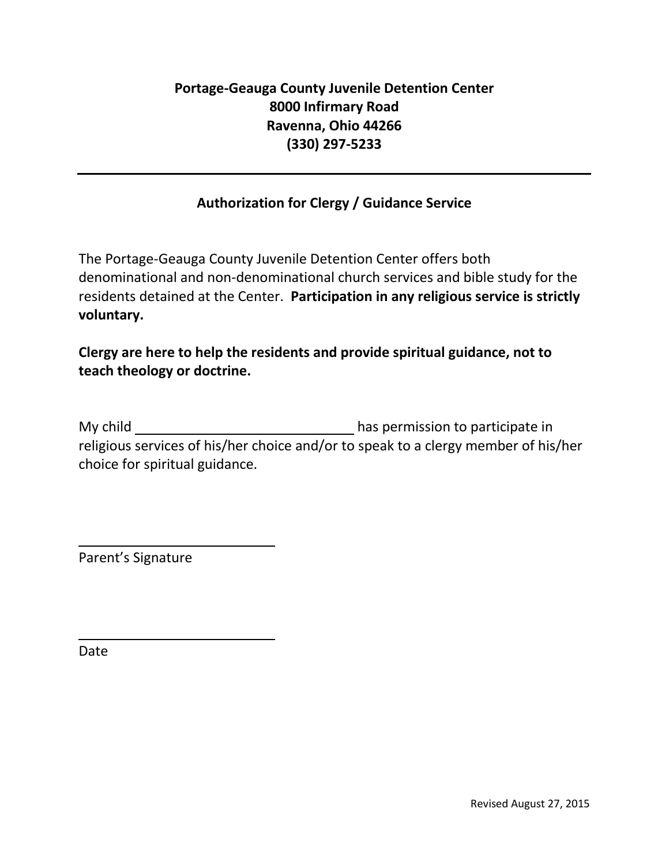## **Authorization for Clergy / Guidance Service**

The Portage-Geauga County Juvenile Detention Center offers both denominational and non-denominational church services and bible study for the residents detained at the Center. **Participation in any religious service is strictly voluntary.**

## **Clergy are here to help the residents and provide spiritual guidance, not to teach theology or doctrine.**

My child has permission to participate in religious services of his/her choice and/or to speak to a clergy member of his/her choice for spiritual guidance.

Parent's Signature

Date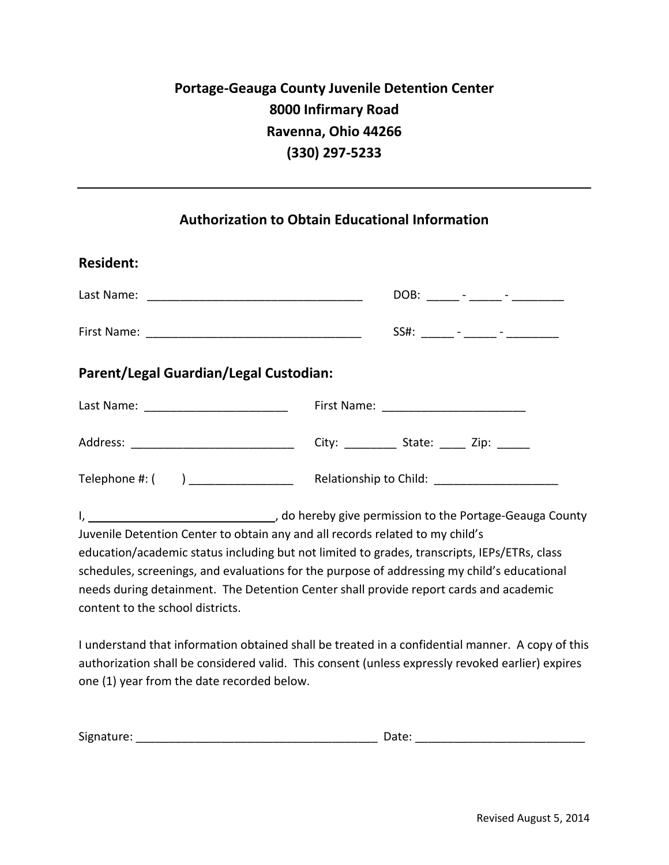### **Authorization to Obtain Educational Information**

| <b>Resident:</b>                           |                                                                                                                                                           |
|--------------------------------------------|-----------------------------------------------------------------------------------------------------------------------------------------------------------|
|                                            | DOB: _____ - ____ - _____ - _______                                                                                                                       |
|                                            | $SS#:$ ______ - _____ - _______ -                                                                                                                         |
| Parent/Legal Guardian/Legal Custodian:     |                                                                                                                                                           |
| Last Name: _______________________________ |                                                                                                                                                           |
|                                            |                                                                                                                                                           |
|                                            | Telephone #: ( ) _________________ Relationship to Child: ______________________                                                                          |
|                                            | I, 1. 2008 [1] J, do hereby give permission to the Portage-Geauga County<br>Juvenile Detention Center to obtain any and all records related to my child's |
|                                            | aducation/academic status including but not limited to grades, transcripts, IEDs/FTRs, class                                                              |

education/academic status including but not limited to grades, transcripts, IEPs/ETRs, class schedules, screenings, and evaluations for the purpose of addressing my child's educational needs during detainment. The Detention Center shall provide report cards and academic content to the school districts.

I understand that information obtained shall be treated in a confidential manner. A copy of this authorization shall be considered valid. This consent (unless expressly revoked earlier) expires one (1) year from the date recorded below.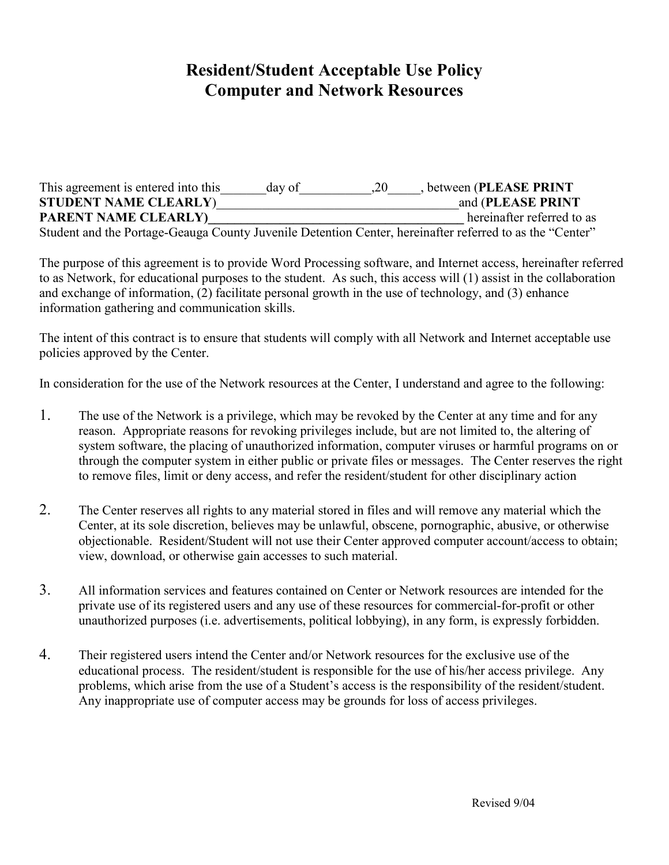# **Resident/Student Acceptable Use Policy Computer and Network Resources**

This agreement is entered into this \_\_\_\_\_\_\_day of \_\_\_\_\_\_\_\_\_\_\_,20\_\_\_\_\_, between (PLEASE PRINT **STUDENT NAME CLEARLY**)\_\_\_\_\_\_\_\_\_\_\_\_\_\_\_\_\_\_\_\_\_\_\_\_\_\_\_\_\_\_\_\_\_\_\_\_\_and (**PLEASE PRINT PARENT NAME CLEARLY)** hereinafter referred to as Student and the Portage-Geauga County Juvenile Detention Center, hereinafter referred to as the "Center"

The purpose of this agreement is to provide Word Processing software, and Internet access, hereinafter referred to as Network, for educational purposes to the student. As such, this access will (1) assist in the collaboration and exchange of information, (2) facilitate personal growth in the use of technology, and (3) enhance information gathering and communication skills.

The intent of this contract is to ensure that students will comply with all Network and Internet acceptable use policies approved by the Center.

In consideration for the use of the Network resources at the Center, I understand and agree to the following:

- 1. The use of the Network is a privilege, which may be revoked by the Center at any time and for any reason. Appropriate reasons for revoking privileges include, but are not limited to, the altering of system software, the placing of unauthorized information, computer viruses or harmful programs on or through the computer system in either public or private files or messages. The Center reserves the right to remove files, limit or deny access, and refer the resident/student for other disciplinary action
- 2. The Center reserves all rights to any material stored in files and will remove any material which the Center, at its sole discretion, believes may be unlawful, obscene, pornographic, abusive, or otherwise objectionable. Resident/Student will not use their Center approved computer account/access to obtain; view, download, or otherwise gain accesses to such material.
- 3. All information services and features contained on Center or Network resources are intended for the private use of its registered users and any use of these resources for commercial-for-profit or other unauthorized purposes (i.e. advertisements, political lobbying), in any form, is expressly forbidden.
- 4. Their registered users intend the Center and/or Network resources for the exclusive use of the educational process. The resident/student is responsible for the use of his/her access privilege. Any problems, which arise from the use of a Student's access is the responsibility of the resident/student. Any inappropriate use of computer access may be grounds for loss of access privileges.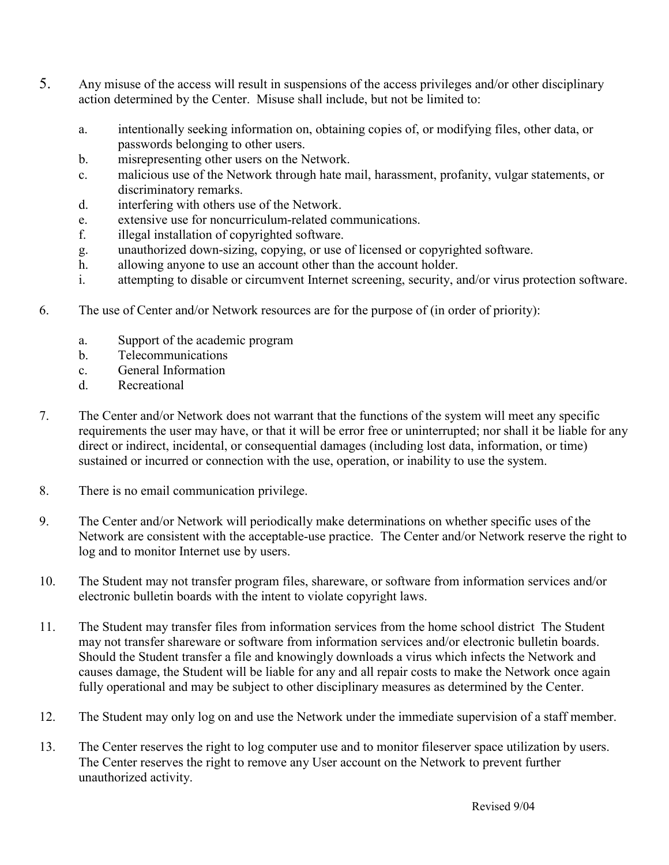- 5. Any misuse of the access will result in suspensions of the access privileges and/or other disciplinary action determined by the Center. Misuse shall include, but not be limited to:
	- a. intentionally seeking information on, obtaining copies of, or modifying files, other data, or passwords belonging to other users.
	- b. misrepresenting other users on the Network.
	- c. malicious use of the Network through hate mail, harassment, profanity, vulgar statements, or discriminatory remarks.
	- d. interfering with others use of the Network.
	- e. extensive use for noncurriculum-related communications.
	- f. illegal installation of copyrighted software.
	- g. unauthorized down-sizing, copying, or use of licensed or copyrighted software.
	- h. allowing anyone to use an account other than the account holder.
	- i. attempting to disable or circumvent Internet screening, security, and/or virus protection software.
- 6. The use of Center and/or Network resources are for the purpose of (in order of priority):
	- a. Support of the academic program
	- b. Telecommunications
	- c. General Information
	- d. Recreational
- 7. The Center and/or Network does not warrant that the functions of the system will meet any specific requirements the user may have, or that it will be error free or uninterrupted; nor shall it be liable for any direct or indirect, incidental, or consequential damages (including lost data, information, or time) sustained or incurred or connection with the use, operation, or inability to use the system.
- 8. There is no email communication privilege.
- 9. The Center and/or Network will periodically make determinations on whether specific uses of the Network are consistent with the acceptable-use practice. The Center and/or Network reserve the right to log and to monitor Internet use by users.
- 10. The Student may not transfer program files, shareware, or software from information services and/or electronic bulletin boards with the intent to violate copyright laws.
- 11. The Student may transfer files from information services from the home school district The Student may not transfer shareware or software from information services and/or electronic bulletin boards. Should the Student transfer a file and knowingly downloads a virus which infects the Network and causes damage, the Student will be liable for any and all repair costs to make the Network once again fully operational and may be subject to other disciplinary measures as determined by the Center.
- 12. The Student may only log on and use the Network under the immediate supervision of a staff member.
- 13. The Center reserves the right to log computer use and to monitor fileserver space utilization by users. The Center reserves the right to remove any User account on the Network to prevent further unauthorized activity.